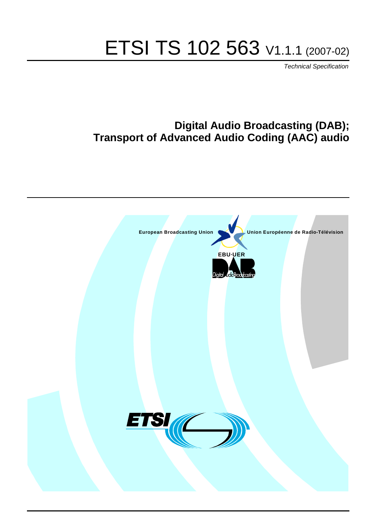# ETSI TS 102 563 V1.1.1 (2007-02)

Technical Specification

# **Digital Audio Broadcasting (DAB); Transport of Advanced Audio Coding (AAC) audio**

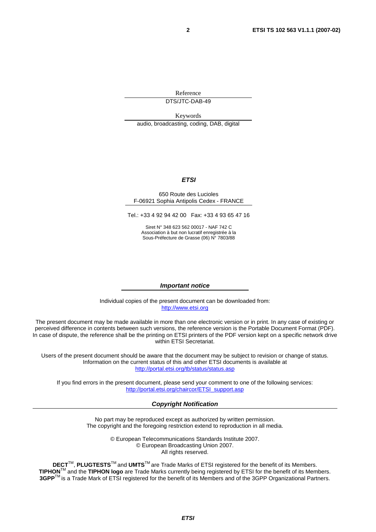Reference DTS/JTC-DAB-49

Keywords audio, broadcasting, coding, DAB, digital

#### **ETSI**

#### 650 Route des Lucioles F-06921 Sophia Antipolis Cedex - FRANCE

Tel.: +33 4 92 94 42 00 Fax: +33 4 93 65 47 16

Siret N° 348 623 562 00017 - NAF 742 C Association à but non lucratif enregistrée à la Sous-Préfecture de Grasse (06) N° 7803/88

#### **Important notice**

Individual copies of the present document can be downloaded from: [http://www.etsi.org](http://www.etsi.org/)

The present document may be made available in more than one electronic version or in print. In any case of existing or perceived difference in contents between such versions, the reference version is the Portable Document Format (PDF). In case of dispute, the reference shall be the printing on ETSI printers of the PDF version kept on a specific network drive within ETSI Secretariat.

Users of the present document should be aware that the document may be subject to revision or change of status. Information on the current status of this and other ETSI documents is available at <http://portal.etsi.org/tb/status/status.asp>

If you find errors in the present document, please send your comment to one of the following services: [http://portal.etsi.org/chaircor/ETSI\\_support.asp](http://portal.etsi.org/chaircor/ETSI_support.asp)

#### **Copyright Notification**

No part may be reproduced except as authorized by written permission. The copyright and the foregoing restriction extend to reproduction in all media.

> © European Telecommunications Standards Institute 2007. © European Broadcasting Union 2007. All rights reserved.

**DECT**TM, **PLUGTESTS**TM and **UMTS**TM are Trade Marks of ETSI registered for the benefit of its Members. **TIPHON**TM and the **TIPHON logo** are Trade Marks currently being registered by ETSI for the benefit of its Members. **3GPP**TM is a Trade Mark of ETSI registered for the benefit of its Members and of the 3GPP Organizational Partners.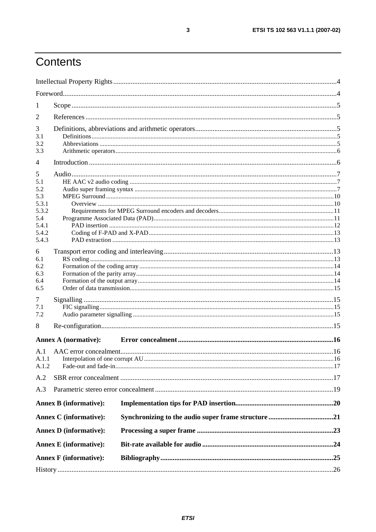# Contents

| 1                                                                          |                               |    |
|----------------------------------------------------------------------------|-------------------------------|----|
| 2                                                                          |                               |    |
| 3<br>3.1<br>3.2<br>3.3                                                     |                               |    |
| 4                                                                          |                               |    |
| 5<br>5.1<br>5.2<br>5.3<br>5.3.1<br>5.3.2<br>5.4<br>5.4.1<br>5.4.2<br>5.4.3 |                               |    |
| 6<br>6.1<br>6.2<br>6.3<br>6.4<br>6.5                                       |                               |    |
| 7<br>7.1<br>7.2                                                            |                               |    |
| 8                                                                          |                               |    |
|                                                                            | <b>Annex A (normative):</b>   |    |
| A.1<br>A.1.2                                                               |                               | 16 |
| A.2                                                                        |                               |    |
| A.3                                                                        |                               |    |
|                                                                            | <b>Annex B</b> (informative): |    |
|                                                                            | <b>Annex C</b> (informative): |    |
|                                                                            | <b>Annex D</b> (informative): |    |
|                                                                            | <b>Annex E</b> (informative): |    |
|                                                                            | <b>Annex F</b> (informative): |    |
|                                                                            |                               |    |
|                                                                            |                               |    |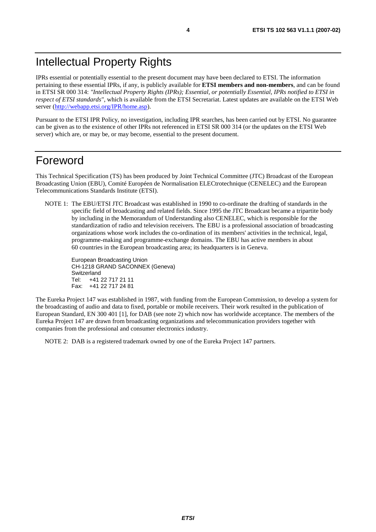IPRs essential or potentially essential to the present document may have been declared to ETSI. The information pertaining to these essential IPRs, if any, is publicly available for **ETSI members and non-members**, and can be found in ETSI SR 000 314: *"Intellectual Property Rights (IPRs); Essential, or potentially Essential, IPRs notified to ETSI in respect of ETSI standards"*, which is available from the ETSI Secretariat. Latest updates are available on the ETSI Web server ([http://webapp.etsi.org/IPR/home.asp\)](http://webapp.etsi.org/IPR/home.asp).

Pursuant to the ETSI IPR Policy, no investigation, including IPR searches, has been carried out by ETSI. No guarantee can be given as to the existence of other IPRs not referenced in ETSI SR 000 314 (or the updates on the ETSI Web server) which are, or may be, or may become, essential to the present document.

# Foreword

This Technical Specification (TS) has been produced by Joint Technical Committee (JTC) Broadcast of the European Broadcasting Union (EBU), Comité Européen de Normalisation ELECtrotechnique (CENELEC) and the European Telecommunications Standards Institute (ETSI).

NOTE 1: The EBU/ETSI JTC Broadcast was established in 1990 to co-ordinate the drafting of standards in the specific field of broadcasting and related fields. Since 1995 the JTC Broadcast became a tripartite body by including in the Memorandum of Understanding also CENELEC, which is responsible for the standardization of radio and television receivers. The EBU is a professional association of broadcasting organizations whose work includes the co-ordination of its members' activities in the technical, legal, programme-making and programme-exchange domains. The EBU has active members in about 60 countries in the European broadcasting area; its headquarters is in Geneva.

European Broadcasting Union CH-1218 GRAND SACONNEX (Geneva) Switzerland Tel: +41 22 717 21 11 Fax: +41 22 717 24 81

The Eureka Project 147 was established in 1987, with funding from the European Commission, to develop a system for the broadcasting of audio and data to fixed, portable or mobile receivers. Their work resulted in the publication of European Standard, EN 300 401 [1], for DAB (see note 2) which now has worldwide acceptance. The members of the Eureka Project 147 are drawn from broadcasting organizations and telecommunication providers together with companies from the professional and consumer electronics industry.

NOTE 2: DAB is a registered trademark owned by one of the Eureka Project 147 partners.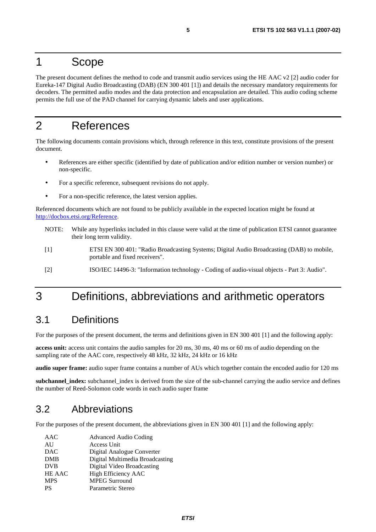## 1 Scope

The present document defines the method to code and transmit audio services using the HE AAC v2 [2] audio coder for Eureka-147 Digital Audio Broadcasting (DAB) (EN 300 401 [1]) and details the necessary mandatory requirements for decoders. The permitted audio modes and the data protection and encapsulation are detailed. This audio coding scheme permits the full use of the PAD channel for carrying dynamic labels and user applications.

# 2 References

The following documents contain provisions which, through reference in this text, constitute provisions of the present document.

- References are either specific (identified by date of publication and/or edition number or version number) or non-specific.
- For a specific reference, subsequent revisions do not apply.
- For a non-specific reference, the latest version applies.

Referenced documents which are not found to be publicly available in the expected location might be found at <http://docbox.etsi.org/Reference>.

- NOTE: While any hyperlinks included in this clause were valid at the time of publication ETSI cannot guarantee their long term validity.
- [1] ETSI EN 300 401: "Radio Broadcasting Systems; Digital Audio Broadcasting (DAB) to mobile, portable and fixed receivers".
- [2] ISO/IEC 14496-3: "Information technology Coding of audio-visual objects Part 3: Audio".

# 3 Definitions, abbreviations and arithmetic operators

### 3.1 Definitions

For the purposes of the present document, the terms and definitions given in EN 300 401 [1] and the following apply:

**access unit:** access unit contains the audio samples for 20 ms, 30 ms, 40 ms or 60 ms of audio depending on the sampling rate of the AAC core, respectively 48 kHz, 32 kHz, 24 kHz or 16 kHz

**audio super frame:** audio super frame contains a number of AUs which together contain the encoded audio for 120 ms

**subchannel index:** subchannel index is derived from the size of the sub-channel carrying the audio service and defines the number of Reed-Solomon code words in each audio super frame

### 3.2 Abbreviations

For the purposes of the present document, the abbreviations given in EN 300 401 [1] and the following apply:

| AAC        | <b>Advanced Audio Coding</b>    |
|------------|---------------------------------|
| AU         | Access Unit                     |
| <b>DAC</b> | Digital Analogue Converter      |
| <b>DMB</b> | Digital Multimedia Broadcasting |
| <b>DVB</b> | Digital Video Broadcasting      |
| HE AAC     | <b>High Efficiency AAC</b>      |
| <b>MPS</b> | <b>MPEG Surround</b>            |
| <b>PS</b>  | Parametric Stereo               |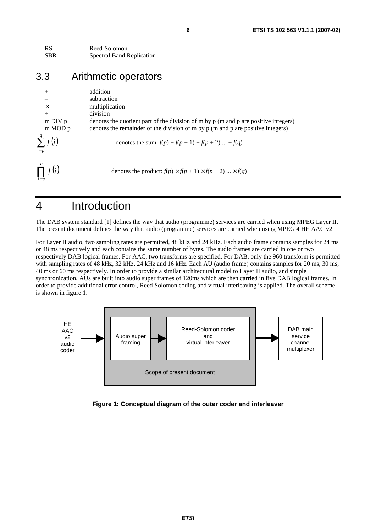| <b>RS</b>  | Reed-Solomon                     |
|------------|----------------------------------|
| <b>SBR</b> | <b>Spectral Band Replication</b> |

# 3.3 Arithmetic operators

| $^{+}$                  | addition                                                                                 |
|-------------------------|------------------------------------------------------------------------------------------|
| $\times$                | subtraction                                                                              |
| $\div$                  | multiplication                                                                           |
| $m$ DIV $p$             | division                                                                                 |
| $m \text{MOD} p$        | denotes the quotient part of the division of m by p (m and p are positive integers)      |
| $\sum^q f(i)$           | denotes the remainder of the division of $m$ by $p$ ( $m$ and $p$ are positive integers) |
| $i=p$                   | denotes the sum: $f(p) + f(p + 1) + f(p + 2)  + f(q)$                                    |
| $\prod^q f(i)$<br>$i=p$ | denotes the product: $f(p) \times f(p + 1) \times f(p + 2) \dots \times f(q)$            |

# 4 Introduction

The DAB system standard [1] defines the way that audio (programme) services are carried when using MPEG Layer II. The present document defines the way that audio (programme) services are carried when using MPEG 4 HE AAC v2.

For Layer II audio, two sampling rates are permitted, 48 kHz and 24 kHz. Each audio frame contains samples for 24 ms or 48 ms respectively and each contains the same number of bytes. The audio frames are carried in one or two respectively DAB logical frames. For AAC, two transforms are specified. For DAB, only the 960 transform is permitted with sampling rates of 48 kHz,  $32$  kHz,  $24$  kHz and 16 kHz. Each AU (audio frame) contains samples for 20 ms,  $30$  ms, 40 ms or 60 ms respectively. In order to provide a similar architectural model to Layer II audio, and simple synchronization, AUs are built into audio super frames of 120ms which are then carried in five DAB logical frames. In order to provide additional error control, Reed Solomon coding and virtual interleaving is applied. The overall scheme is shown in figure 1.



#### **Figure 1: Conceptual diagram of the outer coder and interleaver**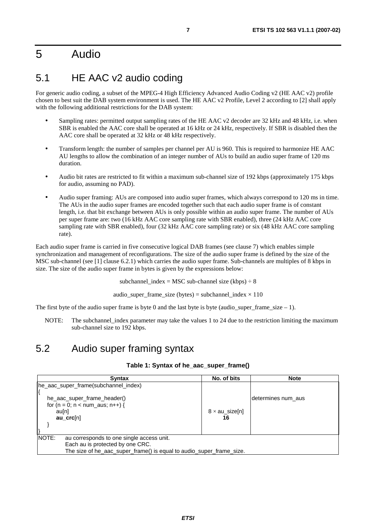# 5 Audio

# 5.1 HE AAC v2 audio coding

For generic audio coding, a subset of the MPEG-4 High Efficiency Advanced Audio Coding v2 (HE AAC v2) profile chosen to best suit the DAB system environment is used. The HE AAC v2 Profile, Level 2 according to [2] shall apply with the following additional restrictions for the DAB system:

- Sampling rates: permitted output sampling rates of the HE AAC v2 decoder are 32 kHz and 48 kHz, i.e. when SBR is enabled the AAC core shall be operated at 16 kHz or 24 kHz, respectively. If SBR is disabled then the AAC core shall be operated at 32 kHz or 48 kHz respectively.
- Transform length: the number of samples per channel per AU is 960. This is required to harmonize HE AAC AU lengths to allow the combination of an integer number of AUs to build an audio super frame of 120 ms duration.
- Audio bit rates are restricted to fit within a maximum sub-channel size of 192 kbps (approximately 175 kbps for audio, assuming no PAD).
- Audio super framing: AUs are composed into audio super frames, which always correspond to 120 ms in time. The AUs in the audio super frames are encoded together such that each audio super frame is of constant length, i.e. that bit exchange between AUs is only possible within an audio super frame. The number of AUs per super frame are: two (16 kHz AAC core sampling rate with SBR enabled), three (24 kHz AAC core sampling rate with SBR enabled), four (32 kHz AAC core sampling rate) or six (48 kHz AAC core sampling rate).

Each audio super frame is carried in five consecutive logical DAB frames (see clause 7) which enables simple synchronization and management of reconfigurations. The size of the audio super frame is defined by the size of the MSC sub-channel (see [1] clause 6.2.1) which carries the audio super frame. Sub-channels are multiples of 8 kbps in size. The size of the audio super frame in bytes is given by the expressions below:

subchannel index = MSC sub-channel size (kbps)  $\div 8$ 

audio\_super\_frame\_size (bytes) = subchannel\_index  $\times$  110

The first byte of the audio super frame is byte 0 and the last byte is byte (audio super frame size – 1).

NOTE: The subchannel\_index parameter may take the values 1 to 24 due to the restriction limiting the maximum sub-channel size to 192 kbps.

## 5.2 Audio super framing syntax

#### **Table 1: Syntax of he\_aac\_super\_frame()**

| <b>Syntax</b>                                                        | No. of bits           | <b>Note</b>        |
|----------------------------------------------------------------------|-----------------------|--------------------|
| he_aac_super_frame(subchannel_index)                                 |                       |                    |
| he_aac_super_frame_header()                                          |                       | determines num aus |
| for $(n = 0; n < num_aus; n++)$ {                                    |                       |                    |
| au[n]                                                                | $8 \times au$ size[n] |                    |
| $au$ crc $[n]$                                                       | 16                    |                    |
|                                                                      |                       |                    |
| <b>NOTE:</b><br>au corresponds to one single access unit.            |                       |                    |
| Each au is protected by one CRC.                                     |                       |                    |
| The size of he_aac_super_frame() is equal to audio_super_frame_size. |                       |                    |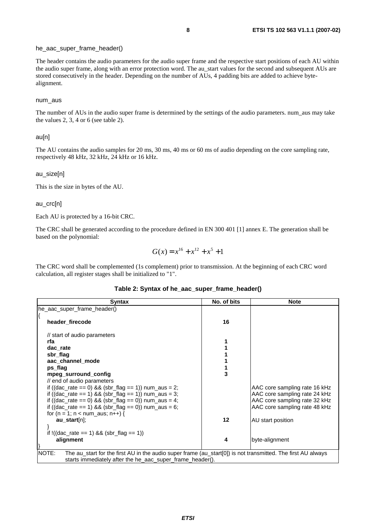#### he\_aac\_super\_frame\_header()

The header contains the audio parameters for the audio super frame and the respective start positions of each AU within the audio super frame, along with an error protection word. The au\_start values for the second and subsequent AUs are stored consecutively in the header. Depending on the number of AUs, 4 padding bits are added to achieve bytealignment.

#### num\_aus

The number of AUs in the audio super frame is determined by the settings of the audio parameters. num\_aus may take the values 2, 3, 4 or 6 (see table 2).

#### au[n]

The AU contains the audio samples for 20 ms, 30 ms, 40 ms or 60 ms of audio depending on the core sampling rate, respectively 48 kHz, 32 kHz, 24 kHz or 16 kHz.

#### au\_size[n]

This is the size in bytes of the AU.

au\_crc[n]

Each AU is protected by a 16-bit CRC.

The CRC shall be generated according to the procedure defined in EN 300 401 [1] annex E. The generation shall be based on the polynomial:

$$
G(x) = x^{16} + x^{12} + x^5 + 1
$$

The CRC word shall be complemented (1s complement) prior to transmission. At the beginning of each CRC word calculation, all register stages shall be initialized to "1".

| <b>Syntax</b>                                                                                                         | No. of bits | <b>Note</b>                   |
|-----------------------------------------------------------------------------------------------------------------------|-------------|-------------------------------|
| he_aac_super_frame_header()                                                                                           |             |                               |
| header firecode                                                                                                       | 16          |                               |
| // start of audio parameters                                                                                          |             |                               |
| rfa                                                                                                                   |             |                               |
| dac rate                                                                                                              |             |                               |
| sbr_flag                                                                                                              |             |                               |
| aac channel mode                                                                                                      |             |                               |
| ps flag                                                                                                               |             |                               |
| mpeg surround config                                                                                                  | 3           |                               |
| // end of audio parameters                                                                                            |             |                               |
| if ((dac_rate == 0) && (sbr_flag == 1)) num_aus = 2;                                                                  |             | AAC core sampling rate 16 kHz |
| if ((dac_rate == 1) && (sbr_flag == 1)) num_aus = 3;                                                                  |             | AAC core sampling rate 24 kHz |
| if ((dac_rate == 0) && (sbr_flag == 0)) num_aus = 4;                                                                  |             | AAC core sampling rate 32 kHz |
| if ((dac_rate == 1) && (sbr_flag == 0)) num_aus = 6;                                                                  |             | AAC core sampling rate 48 kHz |
| for $(n = 1; n < num_aus; n++)$ {                                                                                     |             |                               |
| $au_{stat[0]}$                                                                                                        | 12          | AU start position             |
|                                                                                                                       |             |                               |
| if $!((dac_rate == 1) & 8 & 25$ (sbr_flag = 1)                                                                        |             |                               |
| alignment                                                                                                             | 4           | byte-alignment                |
|                                                                                                                       |             |                               |
| NOTE:<br>The au_start for the first AU in the audio super frame (au_start[0]) is not transmitted. The first AU always |             |                               |
| starts immediately after the he_aac_super_frame_header().                                                             |             |                               |

| Table 2: Syntax of he_aac_super_frame_header() |  |  |  |  |  |  |  |
|------------------------------------------------|--|--|--|--|--|--|--|
|------------------------------------------------|--|--|--|--|--|--|--|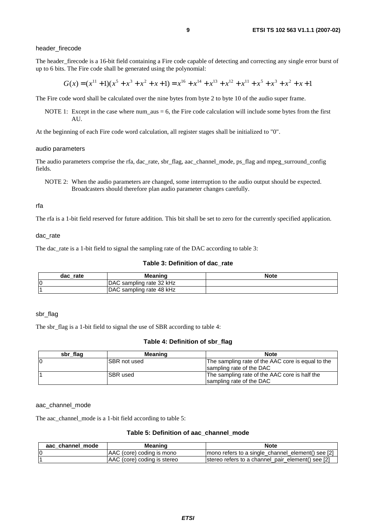#### header\_firecode

The header\_firecode is a 16-bit field containing a Fire code capable of detecting and correcting any single error burst of up to 6 bits. The Fire code shall be generated using the polynomial:

$$
G(x) = (x^{11} + 1)(x^5 + x^3 + x^2 + x + 1) = x^{16} + x^{14} + x^{13} + x^{12} + x^{11} + x^5 + x^3 + x^2 + x + 1
$$

The Fire code word shall be calculated over the nine bytes from byte 2 to byte 10 of the audio super frame.

NOTE 1: Except in the case where num\_aus  $= 6$ , the Fire code calculation will include some bytes from the first AU.

At the beginning of each Fire code word calculation, all register stages shall be initialized to "0".

#### audio parameters

The audio parameters comprise the rfa, dac\_rate, sbr\_flag, aac\_channel\_mode, ps\_flag and mpeg\_surround\_config fields.

NOTE 2: When the audio parameters are changed, some interruption to the audio output should be expected. Broadcasters should therefore plan audio parameter changes carefully.

#### rfa

The rfa is a 1-bit field reserved for future addition. This bit shall be set to zero for the currently specified application.

dac\_rate

The dac\_rate is a 1-bit field to signal the sampling rate of the DAC according to table 3:

#### **Table 3: Definition of dac\_rate**

| rate<br>dac | <b>Meaning</b>           | <b>Note</b> |
|-------------|--------------------------|-------------|
| lO          | DAC sampling rate 32 kHz |             |
|             | DAC sampling rate 48 kHz |             |

#### sbr\_flag

The sbr\_flag is a 1-bit field to signal the use of SBR according to table 4:

#### **Table 4: Definition of sbr\_flag**

| sbr_flag | Meaning              | <b>Note</b>                                       |
|----------|----------------------|---------------------------------------------------|
| IC       | <b>ISBR not used</b> | The sampling rate of the AAC core is equal to the |
|          |                      | sampling rate of the DAC                          |
|          | <b>ISBR</b> used     | The sampling rate of the AAC core is half the     |
|          |                      | sampling rate of the DAC                          |

#### aac\_channel\_mode

The aac\_channel\_mode is a 1-bit field according to table 5:

#### **Table 5: Definition of aac\_channel\_mode**

| aac channel mode | Meaning                     | <b>Note</b>                                       |
|------------------|-----------------------------|---------------------------------------------------|
| 0                | AAC (core) coding is mono   | mono refers to a single_channel_element() see [2] |
|                  | AAC (core) coding is stereo | stereo refers to a channel_pair_element() see [2] |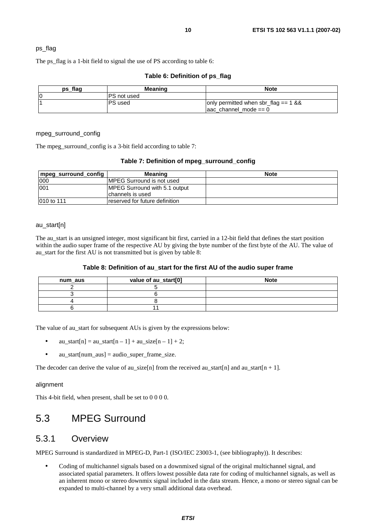#### ps\_flag

The ps\_flag is a 1-bit field to signal the use of PS according to table 6:

| ps flag | <b>Meaning</b>     | <b>Note</b>                                                               |
|---------|--------------------|---------------------------------------------------------------------------|
| 0       | <b>PS</b> not used |                                                                           |
|         | IPS used           | only permitted when sbr_flag == $1 & 8 & 8$<br>$\alpha$ channel mode == 0 |

#### **Table 6: Definition of ps\_flag**

#### mpeg\_surround\_config

The mpeg\_surround\_config is a 3-bit field according to table 7:

#### **Table 7: Definition of mpeg\_surround\_config**

| mpeg_surround_config | Meaning                                                    | <b>Note</b> |
|----------------------|------------------------------------------------------------|-------------|
| 1000                 | IMPEG Surround is not used                                 |             |
| 001                  | <b>IMPEG Surround with 5.1 output</b><br>Ichannels is used |             |
| 1010 to 111          | Ireserved for future definition                            |             |

#### au\_start[n]

The au\_start is an unsigned integer, most significant bit first, carried in a 12-bit field that defines the start position within the audio super frame of the respective AU by giving the byte number of the first byte of the AU. The value of au start for the first AU is not transmitted but is given by table 8:

#### **Table 8: Definition of au\_start for the first AU of the audio super frame**

| num aus | value of au_start[0] | <b>Note</b> |
|---------|----------------------|-------------|
|         |                      |             |
|         |                      |             |
|         |                      |             |
|         |                      |             |

The value of au\_start for subsequent AUs is given by the expressions below:

- au\_start[n] = au\_start[n 1] + au\_size[n 1] + 2;
- $au\_start[num\_aus] = audio\_super\_frame\_size.$

The decoder can derive the value of au\_size[n] from the received au\_start[n] and au\_start[n + 1].

#### alignment

This 4-bit field, when present, shall be set to 0 0 0 0.

## 5.3 MPEG Surround

### 5.3.1 Overview

MPEG Surround is standardized in MPEG-D, Part-1 (ISO/IEC 23003-1, (see bibliography)). It describes:

• Coding of multichannel signals based on a downmixed signal of the original multichannel signal, and associated spatial parameters. It offers lowest possible data rate for coding of multichannel signals, as well as an inherent mono or stereo downmix signal included in the data stream. Hence, a mono or stereo signal can be expanded to multi-channel by a very small additional data overhead.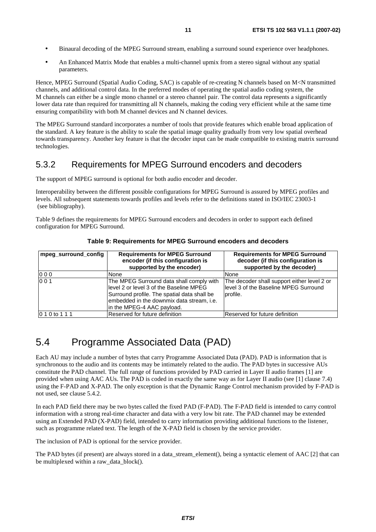- Binaural decoding of the MPEG Surround stream, enabling a surround sound experience over headphones.
- An Enhanced Matrix Mode that enables a multi-channel upmix from a stereo signal without any spatial parameters.

Hence, MPEG Surround (Spatial Audio Coding, SAC) is capable of re-creating N channels based on M<N transmitted channels, and additional control data. In the preferred modes of operating the spatial audio coding system, the M channels can either be a single mono channel or a stereo channel pair. The control data represents a significantly lower data rate than required for transmitting all N channels, making the coding very efficient while at the same time ensuring compatibility with both M channel devices and N channel devices.

The MPEG Surround standard incorporates a number of tools that provide features which enable broad application of the standard. A key feature is the ability to scale the spatial image quality gradually from very low spatial overhead towards transparency. Another key feature is that the decoder input can be made compatible to existing matrix surround technologies.

### 5.3.2 Requirements for MPEG Surround encoders and decoders

The support of MPEG surround is optional for both audio encoder and decoder.

Interoperability between the different possible configurations for MPEG Surround is assured by MPEG profiles and levels. All subsequent statements towards profiles and levels refer to the definitions stated in ISO/IEC 23003-1 (see bibliography).

Table 9 defines the requirements for MPEG Surround encoders and decoders in order to support each defined configuration for MPEG Surround.

| mpeg_surround_config | <b>Requirements for MPEG Surround</b><br>encoder (if this configuration is<br>supported by the encoder)                                                                                                       | <b>Requirements for MPEG Surround</b><br>decoder (if this configuration is<br>supported by the decoder) |
|----------------------|---------------------------------------------------------------------------------------------------------------------------------------------------------------------------------------------------------------|---------------------------------------------------------------------------------------------------------|
| 000                  | None                                                                                                                                                                                                          | None                                                                                                    |
| 001                  | The MPEG Surround data shall comply with<br>level 2 or level 3 of the Baseline MPEG<br>Surround profile. The spatial data shall be<br>embedded in the downmix data stream, i.e.<br>in the MPEG-4 AAC payload. | The decoder shall support either level 2 or<br>llevel 3 of the Baseline MPEG Surround<br>profile.       |
| 0 1 0 to 1 1 1       | Reserved for future definition                                                                                                                                                                                | lReserved for future definition                                                                         |

**Table 9: Requirements for MPEG Surround encoders and decoders** 

# 5.4 Programme Associated Data (PAD)

Each AU may include a number of bytes that carry Programme Associated Data (PAD). PAD is information that is synchronous to the audio and its contents may be intimately related to the audio. The PAD bytes in successive AUs constitute the PAD channel. The full range of functions provided by PAD carried in Layer II audio frames [1] are provided when using AAC AUs. The PAD is coded in exactly the same way as for Layer II audio (see [1] clause 7.4) using the F-PAD and X-PAD. The only exception is that the Dynamic Range Control mechanism provided by F-PAD is not used, see clause 5.4.2.

In each PAD field there may be two bytes called the fixed PAD (F-PAD). The F-PAD field is intended to carry control information with a strong real-time character and data with a very low bit rate. The PAD channel may be extended using an Extended PAD (X-PAD) field, intended to carry information providing additional functions to the listener, such as programme related text. The length of the X-PAD field is chosen by the service provider.

The inclusion of PAD is optional for the service provider.

The PAD bytes (if present) are always stored in a data stream element(), being a syntactic element of AAC [2] that can be multiplexed within a raw\_data\_block().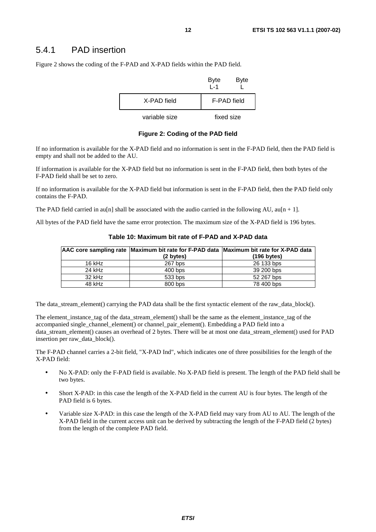### 5.4.1 PAD insertion

Figure 2 shows the coding of the F-PAD and X-PAD fields within the PAD field.

|               | <b>Byte</b><br>$1 - 1$ | <b>Byte</b> |
|---------------|------------------------|-------------|
| X-PAD field   | F-PAD field            |             |
| variable size | fixed size             |             |

**Figure 2: Coding of the PAD field** 

If no information is available for the X-PAD field and no information is sent in the F-PAD field, then the PAD field is empty and shall not be added to the AU.

If information is available for the X-PAD field but no information is sent in the F-PAD field, then both bytes of the F-PAD field shall be set to zero.

If no information is available for the X-PAD field but information is sent in the F-PAD field, then the PAD field only contains the F-PAD.

The PAD field carried in au[n] shall be associated with the audio carried in the following AU,  $\alpha$ u[n + 1].

All bytes of the PAD field have the same error protection. The maximum size of the X-PAD field is 196 bytes.

|          | AAC core sampling rate Maximum bit rate for F-PAD data Maximum bit rate for X-PAD data |                       |
|----------|----------------------------------------------------------------------------------------|-----------------------|
|          | $(2 \text{ bytes})$                                                                    | $(196 \text{ bytes})$ |
| $16$ kHz | $267$ bps                                                                              | 26 133 bps            |
| 24 kHz   | $400$ bps                                                                              | 39 200 bps            |
| $32$ kHz | 533 bps                                                                                | 52 267 bps            |
| 48 kHz   | 800 bps                                                                                | 78 400 bps            |

**Table 10: Maximum bit rate of F-PAD and X-PAD data** 

The data stream element() carrying the PAD data shall be the first syntactic element of the raw data block().

The element instance tag of the data stream element() shall be the same as the element instance tag of the accompanied single\_channel\_element() or channel\_pair\_element(). Embedding a PAD field into a data stream element() causes an overhead of 2 bytes. There will be at most one data stream element() used for PAD insertion per raw\_data\_block().

The F-PAD channel carries a 2-bit field, "X-PAD Ind", which indicates one of three possibilities for the length of the X-PAD field:

- No X-PAD: only the F-PAD field is available. No X-PAD field is present. The length of the PAD field shall be two bytes.
- Short X-PAD: in this case the length of the X-PAD field in the current AU is four bytes. The length of the PAD field is 6 bytes.
- Variable size X-PAD: in this case the length of the X-PAD field may vary from AU to AU. The length of the X-PAD field in the current access unit can be derived by subtracting the length of the F-PAD field (2 bytes) from the length of the complete PAD field.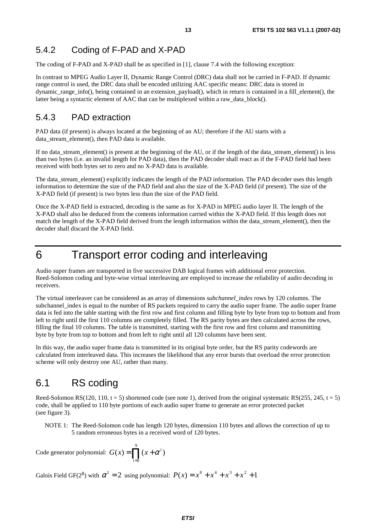### 5.4.2 Coding of F-PAD and X-PAD

The coding of F-PAD and X-PAD shall be as specified in [1], clause 7.4 with the following exception:

In contrast to MPEG Audio Layer II, Dynamic Range Control (DRC) data shall not be carried in F-PAD. If dynamic range control is used, the DRC data shall be encoded utilizing AAC specific means: DRC data is stored in dynamic\_range\_info(), being contained in an extension\_payload(), which in return is contained in a fill\_element(), the latter being a syntactic element of AAC that can be multiplexed within a raw\_data\_block().

### 5.4.3 PAD extraction

PAD data (if present) is always located at the beginning of an AU; therefore if the AU starts with a data\_stream\_element(), then PAD data is available.

If no data\_stream\_element() is present at the beginning of the AU, or if the length of the data\_stream\_element() is less than two bytes (i.e. an invalid length for PAD data), then the PAD decoder shall react as if the F-PAD field had been received with both bytes set to zero and no X-PAD data is available.

The data stream element() explicitly indicates the length of the PAD information. The PAD decoder uses this length information to determine the size of the PAD field and also the size of the X-PAD field (if present). The size of the X-PAD field (if present) is two bytes less than the size of the PAD field.

Once the X-PAD field is extracted, decoding is the same as for X-PAD in MPEG audio layer II. The length of the X-PAD shall also be deduced from the contents information carried within the X-PAD field. If this length does not match the length of the X-PAD field derived from the length information within the data stream element(), then the decoder shall discard the X-PAD field.

# 6 Transport error coding and interleaving

Audio super frames are transported in five successive DAB logical frames with additional error protection. Reed-Solomon coding and byte-wise virtual interleaving are employed to increase the reliability of audio decoding in receivers.

The virtual interleaver can be considered as an array of dimensions *subchannel\_index* rows by 120 columns. The subchannel\_index is equal to the number of RS packets required to carry the audio super frame. The audio super frame data is fed into the table starting with the first row and first column and filling byte by byte from top to bottom and from left to right until the first 110 columns are completely filled. The RS parity bytes are then calculated across the rows, filling the final 10 columns. The table is transmitted, starting with the first row and first column and transmitting byte by byte from top to bottom and from left to right until all 120 columns have been sent.

In this way, the audio super frame data is transmitted in its original byte order, but the RS parity codewords are calculated from interleaved data. This increases the likelihood that any error bursts that overload the error protection scheme will only destroy one AU, rather than many.

### 6.1 RS coding

Reed-Solomon RS(120, 110,  $t = 5$ ) shortened code (see note 1), derived from the original systematic RS(255, 245,  $t = 5$ ) code, shall be applied to 110 byte portions of each audio super frame to generate an error protected packet (see figure 3).

NOTE 1: The Reed-Solomon code has length 120 bytes, dimension 110 bytes and allows the correction of up to 5 random erroneous bytes in a received word of 120 bytes.

Code generator polynomial:  $G(x) = \prod_{i=0} (x +$ 9  $\mathbf{0}$  $(x) = \prod (x + \alpha^i)$ *i*  $G(x) = \prod (x + \alpha^i)$ 

Galois Field GF(2<sup>8</sup>) with  $\alpha^{1} = 2$  using polynomial:  $P(x) = x^{8} + x^{4} + x^{3} + x^{2} + 1$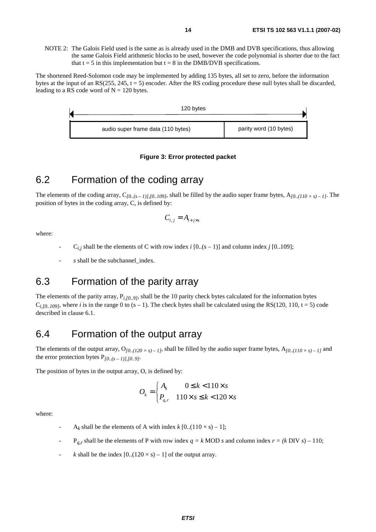NOTE 2: The Galois Field used is the same as is already used in the DMB and DVB specifications, thus allowing the same Galois Field arithmetic blocks to be used, however the code polynomial is shorter due to the fact that  $t = 5$  in this implementation but  $t = 8$  in the DMB/DVB specifications.

The shortened Reed-Solomon code may be implemented by adding 135 bytes, all set to zero, before the information bytes at the input of an RS(255, 245,  $t = 5$ ) encoder. After the RS coding procedure these null bytes shall be discarded, leading to a RS code word of  $N = 120$  bytes.



#### **Figure 3: Error protected packet**

# 6.2 Formation of the coding array

The elements of the coding array,  $C_{[0..(s-1)],[0..109]}$ , shall be filled by the audio super frame bytes,  $A_{[0..(110 \times s)-1]}$ . The position of bytes in the coding array, C, is defined by:

$$
C_{i,j} = A_{i+j\times s}
$$

where:

- $C_{i,j}$  shall be the elements of C with row index *i* [0..(s 1)] and column index *j* [0..109];
- s shall be the subchannel index.

# 6.3 Formation of the parity array

The elements of the parity array, P*i,[0..9]*, shall be the 10 parity check bytes calculated for the information bytes  $C_{i,10..109}$ , where *i* is in the range 0 to (s – 1). The check bytes shall be calculated using the RS(120, 110, t = 5) code described in clause 6.1.

### 6.4 Formation of the output array

The elements of the output array,  $O_{[0..(120 \times s)-1]}$ , shall be filled by the audio super frame bytes,  $A_{[0..(110 \times s)-1]}$  and the error protection bytes  $P_{10..(s-1)1.10..9l}$ .

The position of bytes in the output array, O, is defined by:

$$
O_k = \begin{cases} A_k & 0 \le k < 110 \times s \\ P_{q,r} & 110 \times s \le k < 120 \times s \end{cases}
$$

where:

- $A_k$  shall be the elements of A with index  $k$  [0..(110  $\times$  s) 1];
- $P_{q,r}$  shall be the elements of P with row index  $q = k$  MOD *s* and column index  $r = (k$  DIV *s*) 110;
- *k* shall be the index  $[0..(120 \times s) 1]$  of the output array.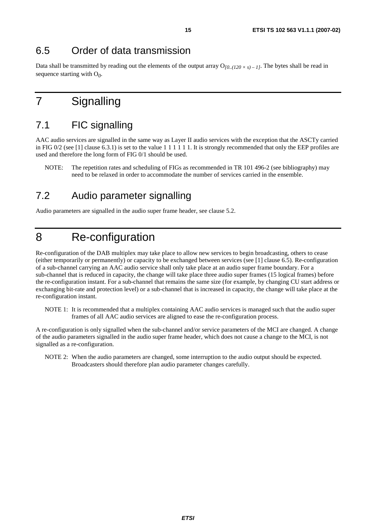### 6.5 Order of data transmission

Data shall be transmitted by reading out the elements of the output array  $O_{[0..(120 \times s) - I]}$ . The bytes shall be read in sequence starting with O*0*.

# 7 Signalling

# 7.1 FIC signalling

AAC audio services are signalled in the same way as Layer II audio services with the exception that the ASCTy carried in FIG  $0/2$  (see [1] clause 6.3.1) is set to the value 1 1 1 1 1 1. It is strongly recommended that only the EEP profiles are used and therefore the long form of FIG 0/1 should be used.

NOTE: The repetition rates and scheduling of FIGs as recommended in TR 101 496-2 (see bibliography) may need to be relaxed in order to accommodate the number of services carried in the ensemble.

### 7.2 Audio parameter signalling

Audio parameters are signalled in the audio super frame header, see clause 5.2.

# 8 Re-configuration

Re-configuration of the DAB multiplex may take place to allow new services to begin broadcasting, others to cease (either temporarily or permanently) or capacity to be exchanged between services (see [1] clause 6.5). Re-configuration of a sub-channel carrying an AAC audio service shall only take place at an audio super frame boundary. For a sub-channel that is reduced in capacity, the change will take place three audio super frames (15 logical frames) before the re-configuration instant. For a sub-channel that remains the same size (for example, by changing CU start address or exchanging bit-rate and protection level) or a sub-channel that is increased in capacity, the change will take place at the re-configuration instant.

NOTE 1: It is recommended that a multiplex containing AAC audio services is managed such that the audio super frames of all AAC audio services are aligned to ease the re-configuration process.

A re-configuration is only signalled when the sub-channel and/or service parameters of the MCI are changed. A change of the audio parameters signalled in the audio super frame header, which does not cause a change to the MCI, is not signalled as a re-configuration.

NOTE 2: When the audio parameters are changed, some interruption to the audio output should be expected. Broadcasters should therefore plan audio parameter changes carefully.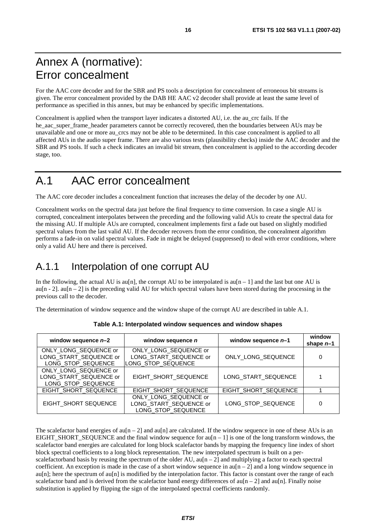# Annex A (normative): Error concealment

For the AAC core decoder and for the SBR and PS tools a description for concealment of erroneous bit streams is given. The error concealment provided by the DAB HE AAC v2 decoder shall provide at least the same level of performance as specified in this annex, but may be enhanced by specific implementations.

Concealment is applied when the transport layer indicates a distorted AU, i.e. the au\_crc fails. If the he\_aac\_super\_frame\_header parameters cannot be correctly recovered, then the boundaries between AUs may be unavailable and one or more au\_crcs may not be able to be determined. In this case concealment is applied to all affected AUs in the audio super frame. There are also various tests (plausibility checks) inside the AAC decoder and the SBR and PS tools. If such a check indicates an invalid bit stream, then concealment is applied to the according decoder stage, too.

# A.1 AAC error concealment

The AAC core decoder includes a concealment function that increases the delay of the decoder by one AU.

Concealment works on the spectral data just before the final frequency to time conversion. In case a single AU is corrupted, concealment interpolates between the preceding and the following valid AUs to create the spectral data for the missing AU. If multiple AUs are corrupted, concealment implements first a fade out based on slightly modified spectral values from the last valid AU. If the decoder recovers from the error condition, the concealment algorithm performs a fade-in on valid spectral values. Fade in might be delayed (suppressed) to deal with error conditions, where only a valid AU here and there is perceived.

# A.1.1 Interpolation of one corrupt AU

In the following, the actual AU is au<sup>[n]</sup>, the corrupt AU to be interpolated is au<sup>[n  $-1$ ] and the last but one AU is</sup> au[n - 2], au[n – 2] is the preceding valid AU for which spectral values have been stored during the processing in the previous call to the decoder.

The determination of window sequence and the window shape of the corrupt AU are described in table A.1.

| window sequence $n-2$                                                 | window sequence n                                                     | window sequence $n-1$ | window<br>shape $n-1$ |
|-----------------------------------------------------------------------|-----------------------------------------------------------------------|-----------------------|-----------------------|
| ONLY LONG SEQUENCE or<br>LONG_START_SEQUENCE or<br>LONG STOP SEQUENCE | ONLY LONG SEQUENCE or<br>LONG_START_SEQUENCE or<br>LONG_STOP_SEQUENCE | ONLY_LONG_SEQUENCE    | 0                     |
| ONLY_LONG_SEQUENCE or<br>LONG_START_SEQUENCE or<br>LONG STOP SEQUENCE | EIGHT SHORT SEQUENCE                                                  | LONG_START_SEQUENCE   | 1                     |
| EIGHT_SHORT_SEQUENCE                                                  | EIGHT SHORT SEQUENCE                                                  | EIGHT_SHORT_SEQUENCE  |                       |
| EIGHT SHORT SEQUENCE                                                  | ONLY_LONG_SEQUENCE or<br>LONG_START_SEQUENCE or<br>LONG STOP SEQUENCE | LONG_STOP_SEQUENCE    | 0                     |

**Table A.1: Interpolated window sequences and window shapes** 

The scalefactor band energies of  $au[n-2]$  and  $au[n]$  are calculated. If the window sequence in one of these AUs is an EIGHT\_SHORT\_SEQUENCE and the final window sequence for  $au[n - 1]$  is one of the long transform windows, the scalefactor band energies are calculated for long block scalefactor bands by mapping the frequency line index of short block spectral coefficients to a long block representation. The new interpolated spectrum is built on a perscalefactorband basis by reusing the spectrum of the older AU,  $au[n-2]$  and multiplying a factor to each spectral coefficient. An exception is made in the case of a short window sequence in au $[n-2]$  and a long window sequence in  $a$ u[n]; here the spectrum of  $a$ u[n] is modified by the interpolation factor. This factor is constant over the range of each scalefactor band and is derived from the scalefactor band energy differences of  $au[n-2]$  and  $au[n]$ . Finally noise substitution is applied by flipping the sign of the interpolated spectral coefficients randomly.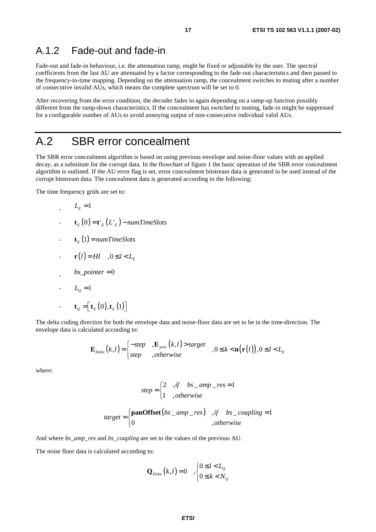### A.1.2 Fade-out and fade-in

Fade-out and fade-in behaviour, i.e. the attenuation ramp, might be fixed or adjustable by the user. The spectral coefficients from the last AU are attenuated by a factor corresponding to the fade-out characteristics and then passed to the frequency-to-time mapping. Depending on the attenuation ramp, the concealment switches to muting after a number of consecutive invalid AUs, which means the complete spectrum will be set to 0.

After recovering from the error condition, the decoder fades in again depending on a ramp-up function possibly different from the ramp-down characteristics. If the concealment has switched to muting, fade-in might be suppressed for a configurable number of AUs to avoid annoying output of non-consecutive individual valid AUs.

## A.2 SBR error concealment

The SBR error concealment algorithm is based on using previous envelope and noise-floor values with an applied decay, as a substitute for the corrupt data. In the flowchart of figure 1 the basic operation of the SBR error concealment algorithm is outlined. If the AU error flag is set, error concealment bitstream data is generated to be used instead of the corrupt bitstream data. The concealment data is generated according to the following:

The time frequency grids are set to:

$$
L_{E}=1
$$

- $\mathbf{t}_{E}(0) = \mathbf{t}_{E}^{T}(L_{E}) numTimeSlots$
- $\mathbf{t}_{E}(1) = numTimeSlots$

$$
-\mathbf{r}(l) = H\mathbf{l} \quad , 0 \leq l < L_{E}
$$

$$
b s\_pointer = 0
$$

- $-L<sub>0</sub>=1$
- $\mathbf{t}_{Q} = \left[ \mathbf{t}_{E}(0), \mathbf{t}_{E}(1) \right]$  $\mathbf{t}_Q = \left[ \mathbf{t}_E(0), \mathbf{t}_E(1) \right]$

The delta coding direction for both the envelope data and noise-floor data are set to be in the time-direction. The envelope data is calculated according to:

$$
\mathbf{E}_{\textit{Delta}}(k,l) = \begin{cases}\n -step & , \mathbf{E}_{\textit{prev}}(k,l) > target \\
step & , otherwise\n\end{cases}, 0 \le k < \mathbf{n}(\mathbf{r}(l)), 0 \le l < L_{\textit{E}}
$$

where:

$$
step = \begin{cases} 2 & ,if \quad bs\_amp\_res = 1 \\ 1 & ,otherwise \end{cases}
$$

$$
target = \begin{cases} \textbf{panOffset}(bs\_amp\_res) & \text{if} \quad bs\_coupling = 1\\ 0 & \text{,} \quad \text{otherwise} \end{cases}
$$

And where *bs\_amp\_res* and *bs\_coupling* are set to the values of the previous AU.

The noise floor data is calculated according to:

$$
\mathbf{Q}_{\text{Delta}}(k,l) = 0 \quad , \begin{cases} 0 \le l < L_0 \\ 0 \le k < N_0 \end{cases}
$$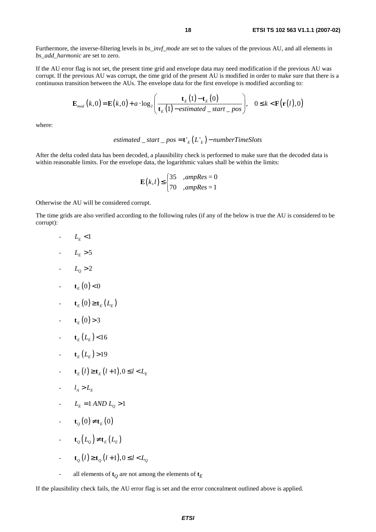Furthermore, the inverse-filtering levels in *bs\_invf\_mode* are set to the values of the previous AU, and all elements in *bs\_add\_harmonic* are set to zero.

If the AU error flag is not set, the present time grid and envelope data may need modification if the previous AU was corrupt. If the previous AU was corrupt, the time grid of the present AU is modified in order to make sure that there is a continuous transition between the AUs. The envelope data for the first envelope is modified according to:

$$
\mathbf{E}_{\textit{mod}}\left(k,0\right) = \mathbf{E}\left(k,0\right) + a \cdot \log_2\left(\frac{\mathbf{t}_{E}\left(1\right) - \mathbf{t}_{E}\left(0\right)}{\mathbf{t}_{E}\left(1\right) - \textit{estimated\_start\_pos}}\right), \quad 0 \leq k < \mathbf{F}\left(\mathbf{r}\left(l\right),0\right)
$$

where:

*estimated* \_*start* \_ *pos* = 
$$
t'_{E}(L'_{E})
$$
 – *numberTimeS*lots

After the delta coded data has been decoded, a plausibility check is performed to make sure that the decoded data is within reasonable limits. For the envelope data, the logarithmic values shall be within the limits:

$$
\mathbf{E}(k,l) \leq \begin{cases} 35 & \text{ampRes} = 0\\ 70 & \text{ampRes} = 1 \end{cases}
$$

Otherwise the AU will be considered corrupt.

The time grids are also verified according to the following rules (if any of the below is true the AU is considered to be corrupt):

- $L_{\scriptscriptstyle E}$  <1
- $-L_{E} > 5$
- $-L_0 > 2$
- $\mathbf{t}_E(0) < 0$
- $\mathbf{t}_{F}(0) \geq \mathbf{t}_{F}(L_{F})$
- $t_{E}(0) > 3$
- $\mathbf{t}_{E} (L_{E}) < 16$
- $\mathbf{t}_E(L_E) > 19$
- $\mathbf{t}_{E}(l) \ge \mathbf{t}_{E}(l+1), 0 \le l \le L_{E}$
- $\frac{l_4}{l_1} > L_{\rm E}$
- $L_{\rm F} = 1$  *AND*  $L_{\rm O} > 1$
- $-\mathbf{t}_{o}(0) \neq \mathbf{t}_{E}(0)$
- **t**<sub>0</sub> $(L_0) \neq t_E(L_E)$
- $\mathbf{t}_o(l) \ge \mathbf{t}_o(l+1), 0 \le l \le L_o$
- all elements of  $\mathbf{t}_O$  are not among the elements of  $\mathbf{t}_E$

If the plausibility check fails, the AU error flag is set and the error concealment outlined above is applied.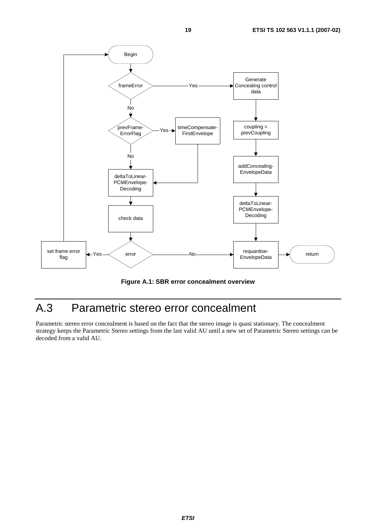

**Figure A.1: SBR error concealment overview** 

# A.3 Parametric stereo error concealment

Parametric stereo error concealment is based on the fact that the stereo image is quasi stationary. The concealment strategy keeps the Parametric Stereo settings from the last valid AU until a new set of Parametric Stereo settings can be decoded from a valid AU.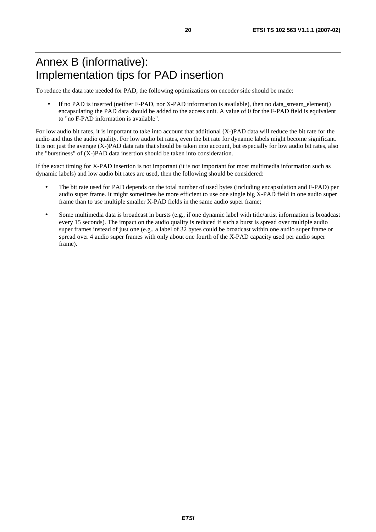# Annex B (informative): Implementation tips for PAD insertion

To reduce the data rate needed for PAD, the following optimizations on encoder side should be made:

• If no PAD is inserted (neither F-PAD, nor X-PAD information is available), then no data\_stream\_element() encapsulating the PAD data should be added to the access unit. A value of 0 for the F-PAD field is equivalent to "no F-PAD information is available".

For low audio bit rates, it is important to take into account that additional (X-)PAD data will reduce the bit rate for the audio and thus the audio quality. For low audio bit rates, even the bit rate for dynamic labels might become significant. It is not just the average (X-)PAD data rate that should be taken into account, but especially for low audio bit rates, also the "burstiness" of (X-)PAD data insertion should be taken into consideration.

If the exact timing for X-PAD insertion is not important (it is not important for most multimedia information such as dynamic labels) and low audio bit rates are used, then the following should be considered:

- The bit rate used for PAD depends on the total number of used bytes (including encapsulation and F-PAD) per audio super frame. It might sometimes be more efficient to use one single big X-PAD field in one audio super frame than to use multiple smaller X-PAD fields in the same audio super frame;
- Some multimedia data is broadcast in bursts (e.g., if one dynamic label with title/artist information is broadcast every 15 seconds). The impact on the audio quality is reduced if such a burst is spread over multiple audio super frames instead of just one (e.g., a label of 32 bytes could be broadcast within one audio super frame or spread over 4 audio super frames with only about one fourth of the X-PAD capacity used per audio super frame).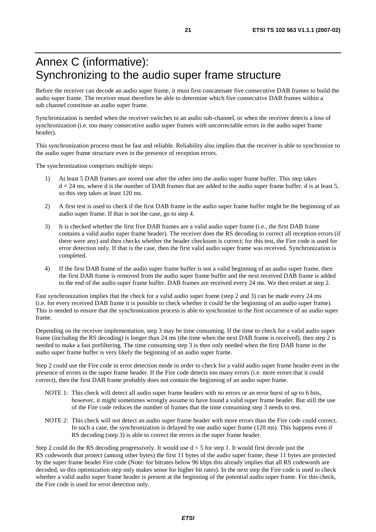# Annex C (informative): Synchronizing to the audio super frame structure

Before the receiver can decode an audio super frame, it must first concatenate five consecutive DAB frames to build the audio super frame. The receiver must therefore be able to determine which five consecutive DAB frames within a sub channel constitute an audio super frame.

Synchronization is needed when the receiver switches to an audio sub-channel, or when the receiver detects a loss of synchronization (i.e. too many consecutive audio super frames with uncorrectable errors in the audio super frame header).

This synchronization process must be fast and reliable. Reliability also implies that the receiver is able to synchronize to the audio super frame structure even in the presence of reception errors.

The synchronization comprises multiple steps:

- 1) At least 5 DAB frames are stored one after the other into the audio super frame buffer. This step takes  $d \times 24$  ms, where d is the number of DAB frames that are added to the audio super frame buffer. d is at least 5, so this step takes at least 120 ms.
- 2) A first test is used to check if the first DAB frame in the audio super frame buffer might be the beginning of an audio super frame. If that is not the case, go to step 4.
- 3) It is checked whether the first five DAB frames are a valid audio super frame (i.e., the first DAB frame contains a valid audio super frame header). The receiver does the RS decoding to correct all reception errors (if there were any) and then checks whether the header checksum is correct; for this test, the Fire code is used for error detection only. If that is the case, then the first valid audio super frame was received. Synchronization is completed.
- 4) If the first DAB frame of the audio super frame buffer is not a valid beginning of an audio super frame, then the first DAB frame is removed from the audio super frame buffer and the next received DAB frame is added to the end of the audio super frame buffer. DAB frames are received every 24 ms. We then restart at step 2.

Fast synchronization implies that the check for a valid audio super frame (step 2 and 3) can be made every 24 ms (i.e. for every received DAB frame it is possible to check whether it could be the beginning of an audio super frame). This is needed to ensure that the synchronization process is able to synchronize to the first occurrence of an audio super frame.

Depending on the receiver implementation, step 3 may be time consuming. If the time to check for a valid audio super frame (including the RS decoding) is longer than 24 ms (the time when the next DAB frame is received), then step 2 is needed to make a fast prefiltering. The time consuming step 3 is then only needed when the first DAB frame in the audio super frame buffer is very likely the beginning of an audio super frame.

Step 2 could use the Fire code in error detection mode in order to check for a valid audio super frame header even in the presence of errors in the super frame header. If the Fire code detects too many errors (i.e. more errors that it could correct), then the first DAB frame probably does not contain the beginning of an audio super frame.

- NOTE 1: This check will detect all audio super frame headers with no errors or an error burst of up to 6 bits, however, it might sometimes wrongly assume to have found a valid super frame header. But still the use of the Fire code reduces the number of frames that the time consuming step 3 needs to test.
- NOTE 2: This check will not detect an audio super frame header with more errors than the Fire code could correct. In such a case, the synchronization is delayed by one audio super frame (120 ms). This happens even if RS decoding (step 3) is able to correct the errors in the super frame header.

Step 2 could do the RS decoding progressively. It would use  $d = 5$  for step 1. It would first decode just the RS codewords that protect (among other bytes) the first 11 bytes of the audio super frame, these 11 bytes are protected by the super frame header Fire code (Note: for bitrates below 96 kbps this already implies that all RS codewords are decoded, so this optimization step only makes sense for higher bit rates). In the next step the Fire code is used to check whether a valid audio super frame header is present at the beginning of the potential audio super frame. For this check, the Fire code is used for error detection only.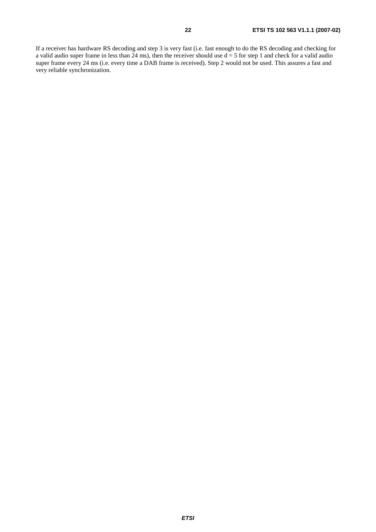If a receiver has hardware RS decoding and step 3 is very fast (i.e. fast enough to do the RS decoding and checking for a valid audio super frame in less than 24 ms), then the receiver should use  $d = 5$  for step 1 and check for a valid audio super frame every 24 ms (i.e. every time a DAB frame is received). Step 2 would not be used. This assures a fast and very reliable synchronization.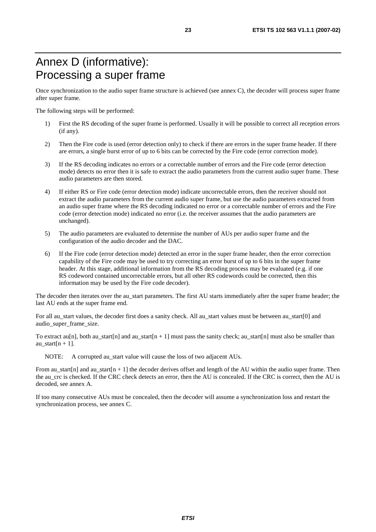# Annex D (informative): Processing a super frame

Once synchronization to the audio super frame structure is achieved (see annex C), the decoder will process super frame after super frame.

The following steps will be performed:

- 1) First the RS decoding of the super frame is performed. Usually it will be possible to correct all reception errors (if any).
- 2) Then the Fire code is used (error detection only) to check if there are errors in the super frame header. If there are errors, a single burst error of up to 6 bits can be corrected by the Fire code (error correction mode).
- 3) If the RS decoding indicates no errors or a correctable number of errors and the Fire code (error detection mode) detects no error then it is safe to extract the audio parameters from the current audio super frame. These audio parameters are then stored.
- 4) If either RS or Fire code (error detection mode) indicate uncorrectable errors, then the receiver should not extract the audio parameters from the current audio super frame, but use the audio parameters extracted from an audio super frame where the RS decoding indicated no error or a correctable number of errors and the Fire code (error detection mode) indicated no error (i.e. the receiver assumes that the audio parameters are unchanged).
- 5) The audio parameters are evaluated to determine the number of AUs per audio super frame and the configuration of the audio decoder and the DAC.
- 6) If the Fire code (error detection mode) detected an error in the super frame header, then the error correction capability of the Fire code may be used to try correcting an error burst of up to 6 bits in the super frame header. At this stage, additional information from the RS decoding process may be evaluated (e.g. if one RS codeword contained uncorrectable errors, but all other RS codewords could be corrected, then this information may be used by the Fire code decoder).

The decoder then iterates over the au\_start parameters. The first AU starts immediately after the super frame header; the last AU ends at the super frame end.

For all au\_start values, the decoder first does a sanity check. All au\_start values must be between au\_start[0] and audio\_super\_frame\_size.

To extract au[n], both au\_start[n] and au\_start[n + 1] must pass the sanity check; au\_start[n] must also be smaller than au start[ $n + 1$ ].

NOTE: A corrupted au start value will cause the loss of two adjacent AUs.

From au\_start[n] and au\_start[n + 1] the decoder derives offset and length of the AU within the audio super frame. Then the au\_crc is checked. If the CRC check detects an error, then the AU is concealed. If the CRC is correct, then the AU is decoded, see annex A.

If too many consecutive AUs must be concealed, then the decoder will assume a synchronization loss and restart the synchronization process, see annex C.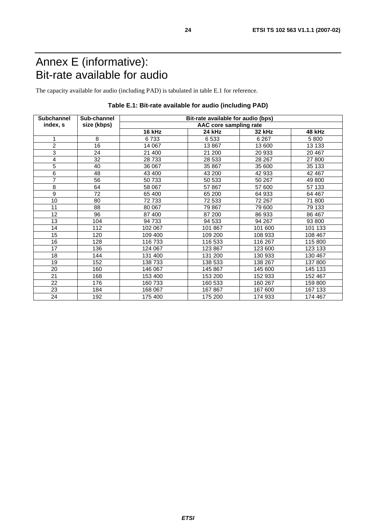# Annex E (informative): Bit-rate available for audio

The capacity available for audio (including PAD) is tabulated in table E.1 for reference.

| <b>Subchannel</b> | Sub-channel | Bit-rate available for audio (bps) |                        |         |         |
|-------------------|-------------|------------------------------------|------------------------|---------|---------|
| index, s          | size (kbps) |                                    | AAC core sampling rate |         |         |
|                   |             | 16 kHz                             | 24 kHz                 | 32 kHz  | 48 kHz  |
|                   | 8           | 6733                               | 6533                   | 6 2 6 7 | 5 800   |
| $\overline{c}$    | 16          | 14 067                             | 13867                  | 13 600  | 13 133  |
| 3                 | 24          | 21 400                             | 21 200                 | 20 933  | 20 467  |
| 4                 | 32          | 28 733                             | 28 533                 | 28 267  | 27 800  |
| 5                 | 40          | 36 067                             | 35 867                 | 35 600  | 35 133  |
| 6                 | 48          | 43 400                             | 43 200                 | 42 933  | 42 467  |
| 7                 | 56          | 50 733                             | 50 533                 | 50 267  | 49 800  |
| 8                 | 64          | 58 067                             | 57867                  | 57 600  | 57 133  |
| 9                 | 72          | 65 400                             | 65 200                 | 64 933  | 64 467  |
| 10                | 80          | 72 733                             | 72 533                 | 72 267  | 71 800  |
| 11                | 88          | 80 067                             | 79 867                 | 79 600  | 79 133  |
| 12                | 96          | 87 400                             | 87 200                 | 86 933  | 86 467  |
| 13                | 104         | 94 733                             | 94 533                 | 94 267  | 93 800  |
| 14                | 112         | 102 067                            | 101 867                | 101 600 | 101 133 |
| 15                | 120         | 109 400                            | 109 200                | 108 933 | 108 467 |
| 16                | 128         | 116 733                            | 116 533                | 116 267 | 115 800 |
| 17                | 136         | 124 067                            | 123 867                | 123 600 | 123 133 |
| 18                | 144         | 131 400                            | 131 200                | 130 933 | 130 467 |
| 19                | 152         | 138 733                            | 138 533                | 138 267 | 137 800 |
| 20                | 160         | 146 067                            | 145 867                | 145 600 | 145 133 |
| 21                | 168         | 153 400                            | 153 200                | 152 933 | 152 467 |
| 22                | 176         | 160 733                            | 160 533                | 160 267 | 159 800 |
| 23                | 184         | 168 067                            | 167867                 | 167 600 | 167 133 |
| 24                | 192         | 175 400                            | 175 200                | 174 933 | 174 467 |

### **Table E.1: Bit-rate available for audio (including PAD)**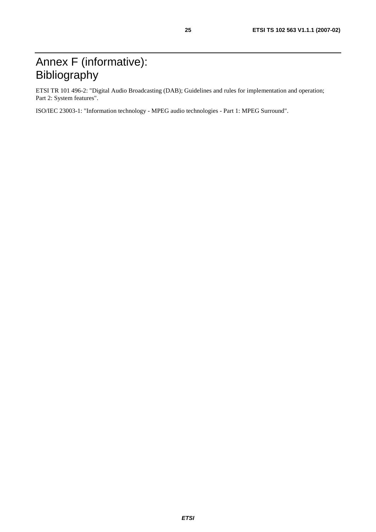# Annex F (informative): Bibliography

ETSI TR 101 496-2: "Digital Audio Broadcasting (DAB); Guidelines and rules for implementation and operation; Part 2: System features".

ISO/IEC 23003-1: "Information technology - MPEG audio technologies - Part 1: MPEG Surround".